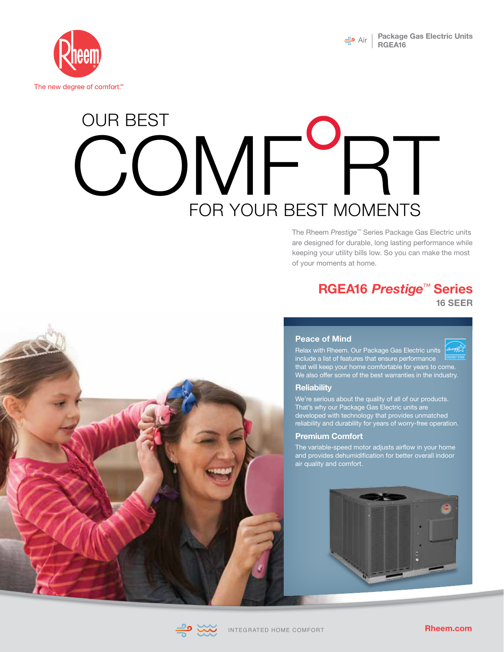



# **OMF F** OUR BEST FOR YOUR BEST MOMENTS

The Rheem *Prestige™* Series Package Gas Electric units are designed for durable, long lasting performance while keeping your utility bills low. So you can make the most of your moments at home.

## **RGEA16** *Prestige*™ **Series**

**16 SEER**



### **Peace of Mind**

Relax with Rheem. Our Package Gas Electric units include a list of features that ensure performance that will keep your home comfortable for years to come. We also offer some of the best warranties in the industry.

### **Reliability**

We're serious about the quality of all of our products. That's why our Package Gas Electric units are developed with technology that provides unmatched reliability and durability for years of worry-free operation.

#### **Premium Comfort**

The variable-speed motor adjusts airflow in your home and provides dehumidification for better overall indoor air quality and comfort.